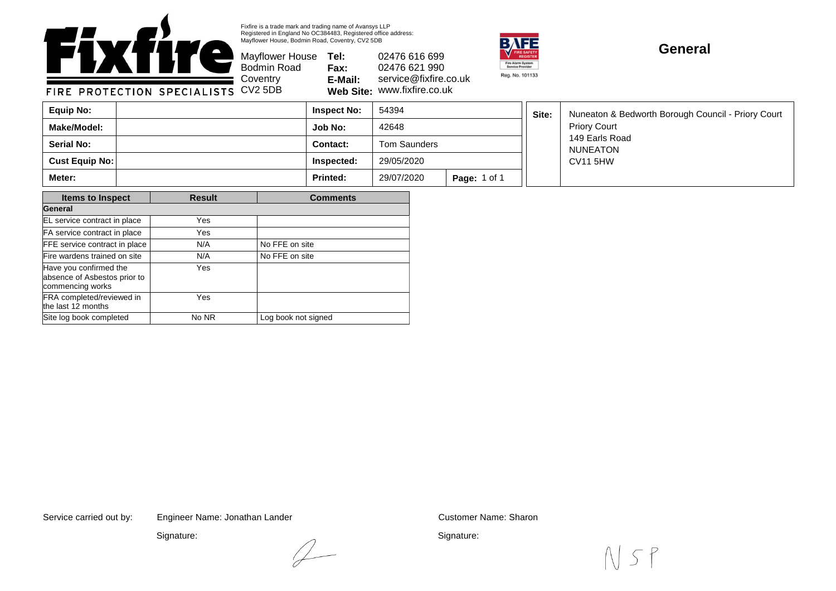

Fixfire is a trade mark and trading name of Avansys LLP Registered in England No OC384483, Registered office address: Mayflower House, Bodmin Road, Coventry, CV2 5DB

Mayflower House **Tel:** Bodmin Road **Fax: E-Mail: Web Site:** www.fixfire.co.uk 02476 616 699 02476 621 990 service@fixfire.co.uk



## **General**

**Job No:** 42648 **Inspect No: Contact:** Nuneaton & Bedworth Borough Council - Priory Court Priory Court 149 Earls Road NUNEATON CV11 5HW Tom Saunders 54394 **Cust Equip No: Inspected:** 29/05/2020 **Make/Model: Serial No: Equip No: Site: Meter: Printed:** 29/07/2020 **Page:** 1 of 1

| <b>Items to Inspect</b>                                                    | <b>Result</b> | <b>Comments</b>     |  |  |
|----------------------------------------------------------------------------|---------------|---------------------|--|--|
| General                                                                    |               |                     |  |  |
| EL service contract in place                                               | Yes           |                     |  |  |
| FA service contract in place                                               | Yes           |                     |  |  |
| FFE service contract in place                                              | N/A           | No FFE on site      |  |  |
| Fire wardens trained on site                                               | N/A           | No FFE on site      |  |  |
| Have you confirmed the<br>absence of Asbestos prior to<br>commencing works | Yes           |                     |  |  |
| FRA completed/reviewed in<br>the last 12 months                            | Yes           |                     |  |  |
| Site log book completed                                                    | No NR         | Log book not signed |  |  |

Service carried out by: Customer Name: Sharon Engineer Name: Jonathan Lander

 $\angle$ 

Signature:

Signature: